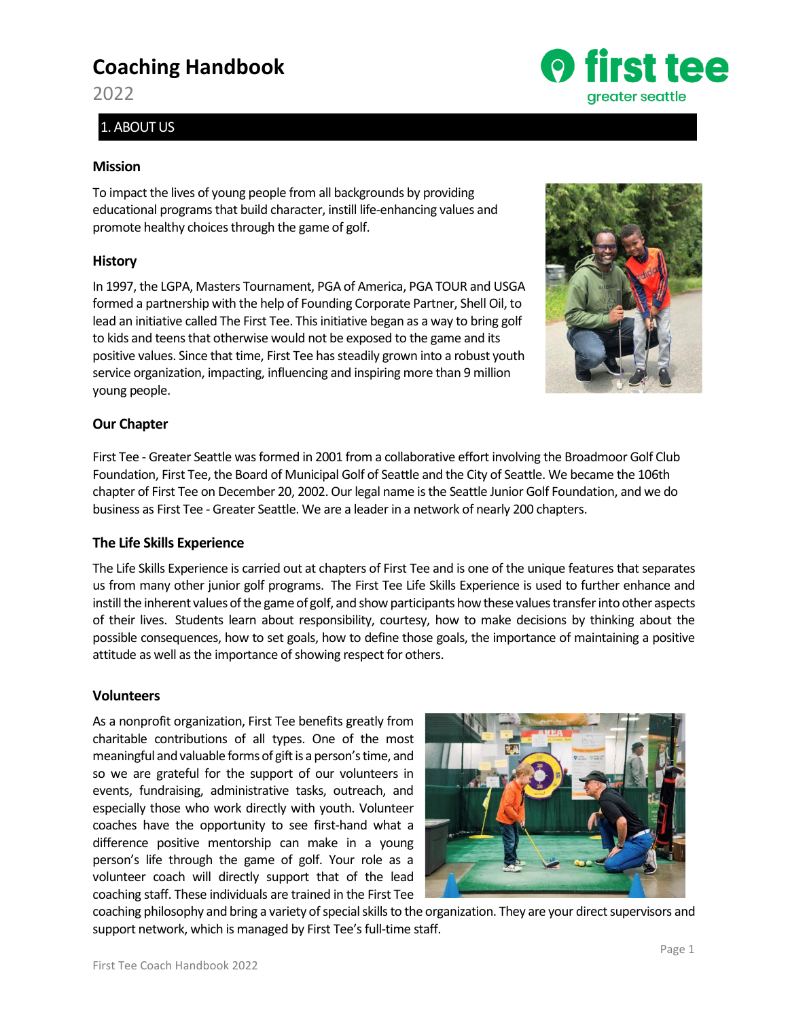# **Coaching Handbook**

2022

# 1. ABOUT US

# **Mission**

To impact the lives of young people from all backgrounds by providing educational programs that build character, instill life-enhancing values and promote healthy choices through the game of golf.

# **History**

In 1997, the LGPA, Masters Tournament, PGA of America, PGA TOUR and USGA formed a partnership with the help of Founding Corporate Partner, Shell Oil, to lead an initiative called The First Tee. This initiative began as a way to bring golf to kids and teens that otherwise would not be exposed to the game and its positive values. Since that time, First Tee has steadily grown into a robust youth service organization, impacting, influencing and inspiring more than 9 million young people.

# **Our Chapter**

First Tee - Greater Seattle was formed in 2001 from a collaborative effort involving the Broadmoor Golf Club Foundation, First Tee, the Board of Municipal Golf of Seattle and the City of Seattle. We became the 106th chapter of First Tee on December 20, 2002. Our legal name is the Seattle Junior Golf Foundation, and we do business as First Tee - Greater Seattle. We are a leader in a network of nearly 200 chapters.

# **The Life Skills Experience**

The Life Skills Experience is carried out at chapters of First Tee and is one of the unique features that separates us from many other junior golf programs. The First Tee Life Skills Experience is used to further enhance and instill the inherent values of the game of golf, and show participants how these values transfer into other aspects of their lives. Students learn about responsibility, courtesy, how to make decisions by thinking about the possible consequences, how to set goals, how to define those goals, the importance of maintaining a positive attitude as well as the importance of showing respect for others.

# **Volunteers**

As a nonprofit organization, First Tee benefits greatly from charitable contributions of all types. One of the most meaningful and valuable forms of gift is a person's time, and so we are grateful for the support of our volunteers in events, fundraising, administrative tasks, outreach, and especially those who work directly with youth. Volunteer coaches have the opportunity to see first-hand what a difference positive mentorship can make in a young person's life through the game of golf. Your role as a volunteer coach will directly support that of the lead coaching staff. These individuals are trained in the First Tee



coaching philosophy and bring a variety of special skills to the organization. They are your direct supervisors and support network, which is managed by First Tee's full-time staff.

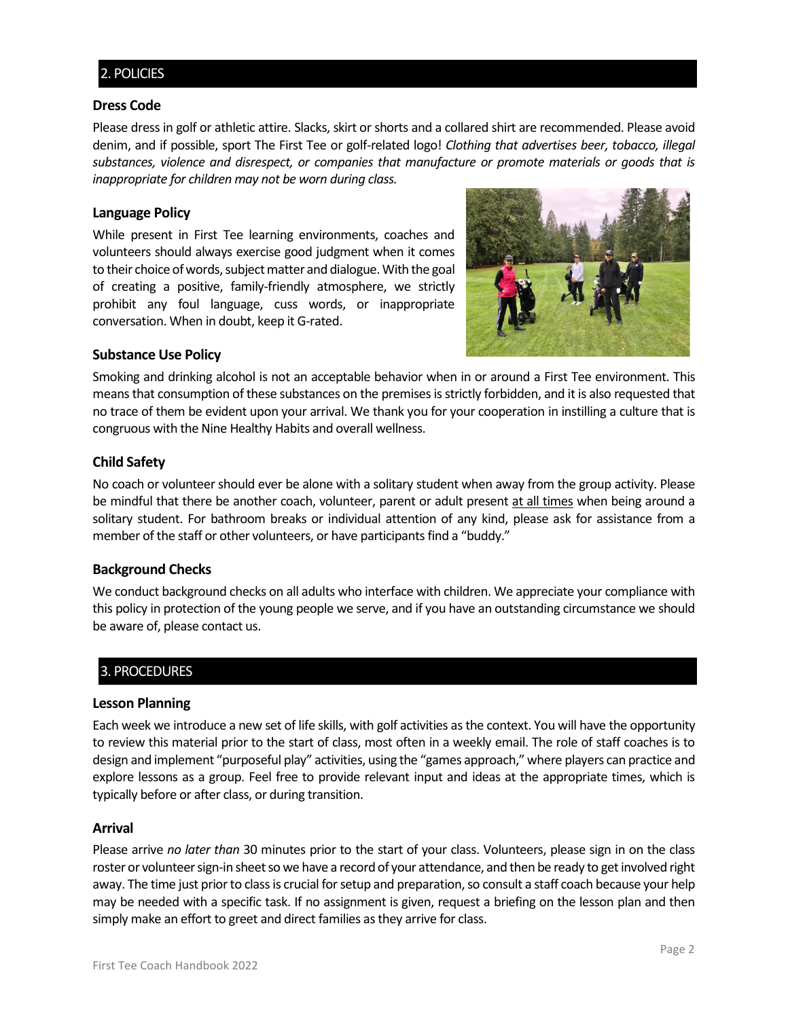# 2. POLICIES

# **Dress Code**

Please dress in golf or athletic attire. Slacks, skirt or shorts and a collared shirt are recommended. Please avoid denim, and if possible, sport The First Tee or golf-related logo! *Clothing that advertises beer, tobacco, illegal substances, violence and disrespect, or companies that manufacture or promote materials or goods that is inappropriate for children may not be worn during class.*

# **Language Policy**

While present in First Tee learning environments, coaches and volunteers should always exercise good judgment when it comes to their choice of words, subject matter and dialogue. With the goal of creating a positive, family-friendly atmosphere, we strictly prohibit any foul language, cuss words, or inappropriate conversation. When in doubt, keep it G-rated.



# **Substance Use Policy**

Smoking and drinking alcohol is not an acceptable behavior when in or around a First Tee environment. This means that consumption of these substances on the premises is strictly forbidden, and it is also requested that no trace of them be evident upon your arrival. We thank you for your cooperation in instilling a culture that is congruous with the Nine Healthy Habits and overall wellness.

# **Child Safety**

No coach or volunteer should ever be alone with a solitary student when away from the group activity. Please be mindful that there be another coach, volunteer, parent or adult present at all times when being around a solitary student. For bathroom breaks or individual attention of any kind, please ask for assistance from a member of the staff or other volunteers, or have participants find a "buddy."

## **Background Checks**

We conduct background checks on all adults who interface with children. We appreciate your compliance with this policy in protection of the young people we serve, and if you have an outstanding circumstance we should be aware of, please contact us.

# 3. PROCEDURES

## **Lesson Planning**

Each week we introduce a new set of life skills, with golf activities as the context. You will have the opportunity to review this material prior to the start of class, most often in a weekly email. The role of staff coaches is to design and implement "purposeful play" activities, using the "games approach," where players can practice and explore lessons as a group. Feel free to provide relevant input and ideas at the appropriate times, which is typically before or after class, or during transition.

## **Arrival**

Please arrive *no later than* 30 minutes prior to the start of your class. Volunteers, please sign in on the class roster or volunteer sign-in sheet so we have a record of your attendance, and then be ready to get involved right away. The time just prior to class is crucial for setup and preparation, so consult a staff coach because your help may be needed with a specific task. If no assignment is given, request a briefing on the lesson plan and then simply make an effort to greet and direct families as they arrive for class.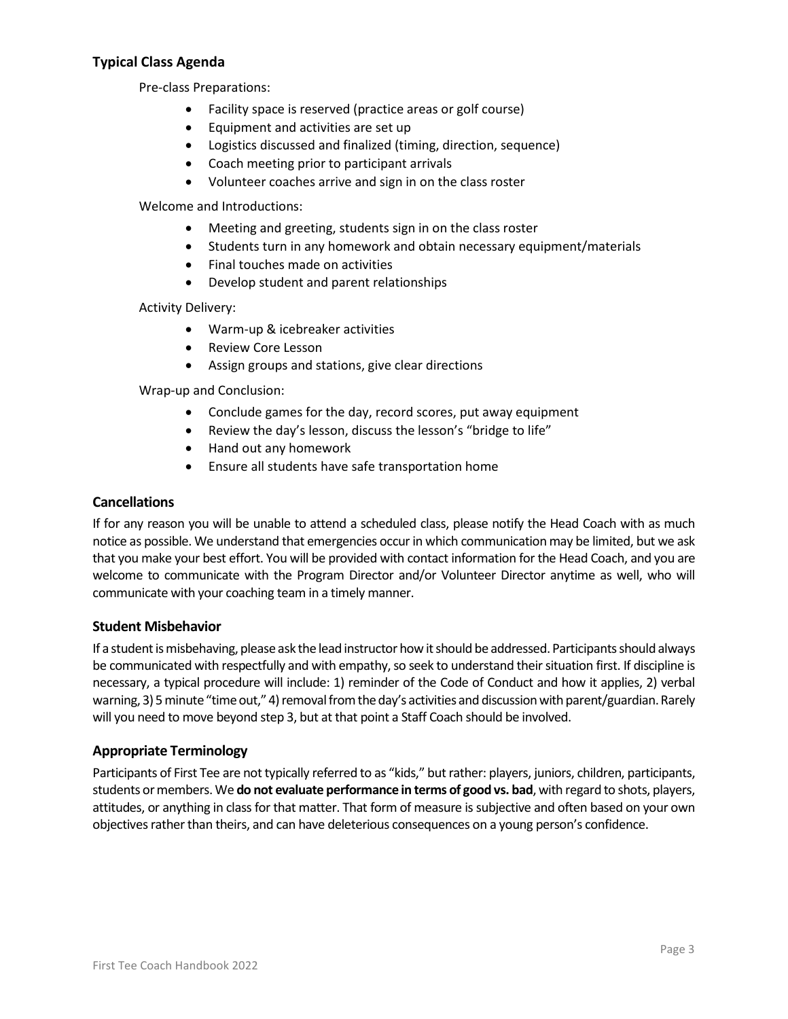# **Typical Class Agenda**

Pre-class Preparations:

- Facility space is reserved (practice areas or golf course)
- Equipment and activities are set up
- Logistics discussed and finalized (timing, direction, sequence)
- Coach meeting prior to participant arrivals
- Volunteer coaches arrive and sign in on the class roster

Welcome and Introductions:

- Meeting and greeting, students sign in on the class roster
- Students turn in any homework and obtain necessary equipment/materials
- Final touches made on activities
- Develop student and parent relationships

Activity Delivery:

- Warm-up & icebreaker activities
- Review Core Lesson
- Assign groups and stations, give clear directions

Wrap-up and Conclusion:

- Conclude games for the day, record scores, put away equipment
- Review the day's lesson, discuss the lesson's "bridge to life"
- Hand out any homework
- Ensure all students have safe transportation home

# **Cancellations**

If for any reason you will be unable to attend a scheduled class, please notify the Head Coach with as much notice as possible. We understand that emergencies occur in which communication may be limited, but we ask that you make your best effort. You will be provided with contact information for the Head Coach, and you are welcome to communicate with the Program Director and/or Volunteer Director anytime as well, who will communicate with your coaching team in a timely manner.

# **Student Misbehavior**

If a student is misbehaving, please ask the lead instructor how it should be addressed. Participants should always be communicated with respectfully and with empathy, so seek to understand their situation first. If discipline is necessary, a typical procedure will include: 1) reminder of the Code of Conduct and how it applies, 2) verbal warning, 3) 5 minute "time out," 4) removal from the day's activities and discussion with parent/guardian. Rarely will you need to move beyond step 3, but at that point a Staff Coach should be involved.

# **Appropriate Terminology**

Participants of First Tee are not typically referred to as "kids," but rather: players, juniors, children, participants, students or members. We **do not evaluate performance in terms of good vs. bad**, with regard to shots, players, attitudes, or anything in class for that matter. That form of measure is subjective and often based on your own objectives rather than theirs, and can have deleterious consequences on a young person's confidence.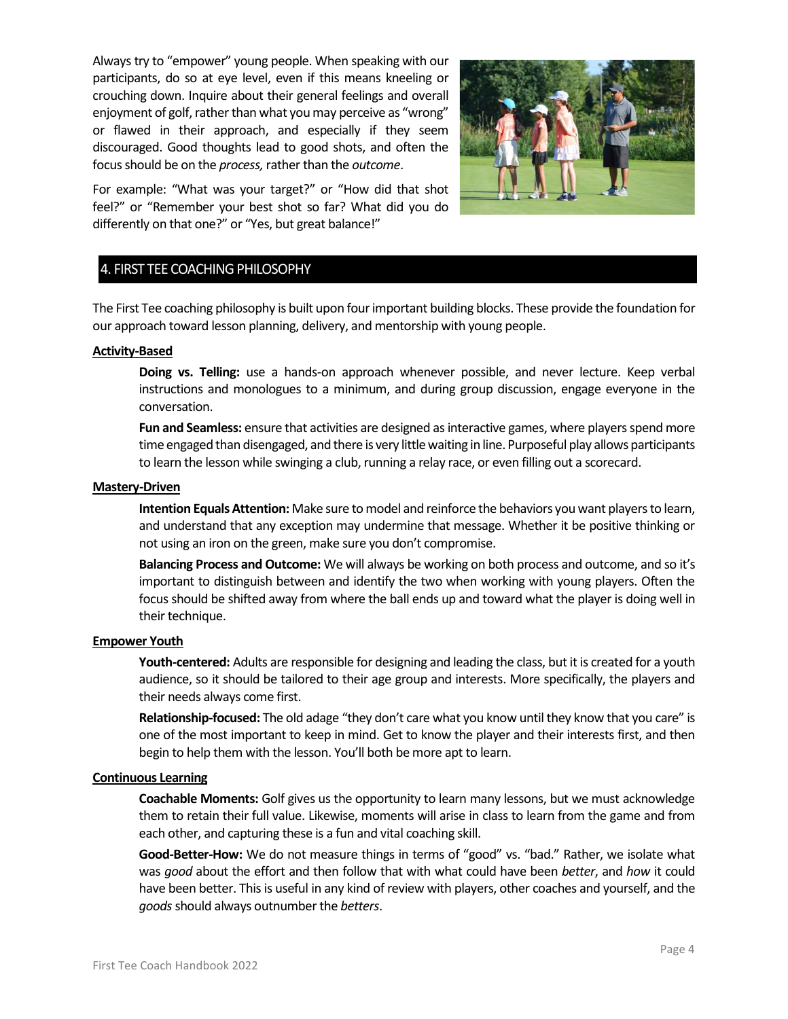Always try to "empower" young people. When speaking with our participants, do so at eye level, even if this means kneeling or crouching down. Inquire about their general feelings and overall enjoyment of golf, rather than what you may perceive as "wrong" or flawed in their approach, and especially if they seem discouraged. Good thoughts lead to good shots, and often the focus should be on the *process,* rather than the *outcome*.



For example: "What was your target?" or "How did that shot feel?" or "Remember your best shot so far? What did you do differently on that one?" or "Yes, but great balance!"

# 4. FIRST TEE COACHING PHILOSOPHY

The First Tee coaching philosophy is built upon four important building blocks. These provide the foundation for our approach toward lesson planning, delivery, and mentorship with young people.

#### **Activity-Based**

**Doing vs. Telling:** use a hands-on approach whenever possible, and never lecture. Keep verbal instructions and monologues to a minimum, and during group discussion, engage everyone in the conversation.

**Fun and Seamless:** ensure that activities are designed as interactive games, where players spend more time engaged than disengaged, and there is very little waiting in line. Purposeful play allows participants to learn the lesson while swinging a club, running a relay race, or even filling out a scorecard.

#### **Mastery-Driven**

**Intention Equals Attention:** Make sure to model and reinforce the behaviors you want players to learn, and understand that any exception may undermine that message. Whether it be positive thinking or not using an iron on the green, make sure you don't compromise.

**Balancing Process and Outcome:** We will always be working on both process and outcome, and so it's important to distinguish between and identify the two when working with young players. Often the focus should be shifted away from where the ball ends up and toward what the player is doing well in their technique.

#### **Empower Youth**

**Youth-centered:** Adults are responsible for designing and leading the class, but it is created for a youth audience, so it should be tailored to their age group and interests. More specifically, the players and their needs always come first.

**Relationship-focused:** The old adage "they don't care what you know until they know that you care" is one of the most important to keep in mind. Get to know the player and their interests first, and then begin to help them with the lesson. You'll both be more apt to learn.

#### **Continuous Learning**

**Coachable Moments:** Golf gives us the opportunity to learn many lessons, but we must acknowledge them to retain their full value. Likewise, moments will arise in class to learn from the game and from each other, and capturing these is a fun and vital coaching skill.

**Good-Better-How:** We do not measure things in terms of "good" vs. "bad." Rather, we isolate what was *good* about the effort and then follow that with what could have been *better*, and *how* it could have been better. This is useful in any kind of review with players, other coaches and yourself, and the *goods*should always outnumber the *betters*.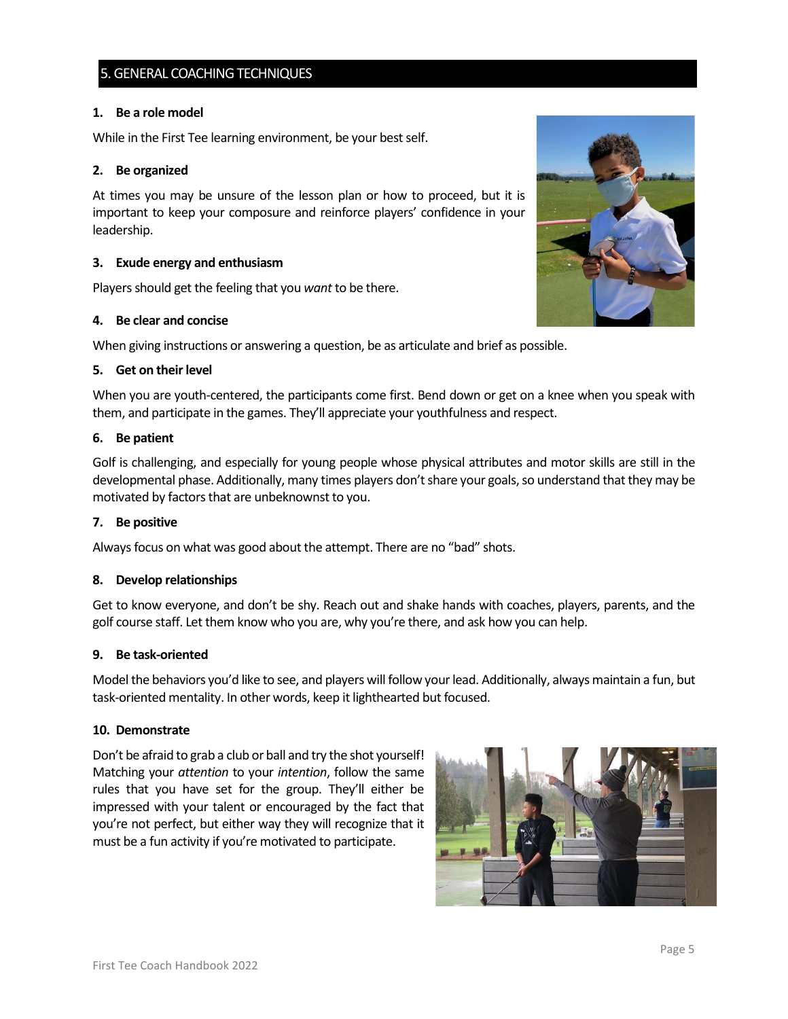# 5. GENERAL COACHING TECHNIQUES

## **1. Be a role model**

While in the First Tee learning environment, be your best self.

# **2. Be organized**

At times you may be unsure of the lesson plan or how to proceed, but it is important to keep your composure and reinforce players' confidence in your leadership.

# **3. Exude energy and enthusiasm**

Players should get the feeling that you *want* to be there.

# **4. Be clear and concise**

When giving instructions or answering a question, be as articulate and brief as possible.

## **5. Get on their level**

When you are youth-centered, the participants come first. Bend down or get on a knee when you speak with them, and participate in the games. They'll appreciate your youthfulness and respect.

## **6. Be patient**

Golf is challenging, and especially for young people whose physical attributes and motor skills are still in the developmental phase. Additionally, many times players don't share your goals, so understand that they may be motivated by factors that are unbeknownst to you.

## **7. Be positive**

Always focus on what was good about the attempt. There are no "bad" shots.

## **8. Develop relationships**

Get to know everyone, and don't be shy. Reach out and shake hands with coaches, players, parents, and the golf course staff. Let them know who you are, why you're there, and ask how you can help.

## **9. Be task-oriented**

Model the behaviors you'd like to see, and players will follow your lead. Additionally, always maintain a fun, but task-oriented mentality. In other words, keep it lighthearted but focused.

## **10. Demonstrate**

Don't be afraid to grab a club or ball and try the shot yourself! Matching your *attention* to your *intention*, follow the same rules that you have set for the group. They'll either be impressed with your talent or encouraged by the fact that you're not perfect, but either way they will recognize that it must be a fun activity if you're motivated to participate.